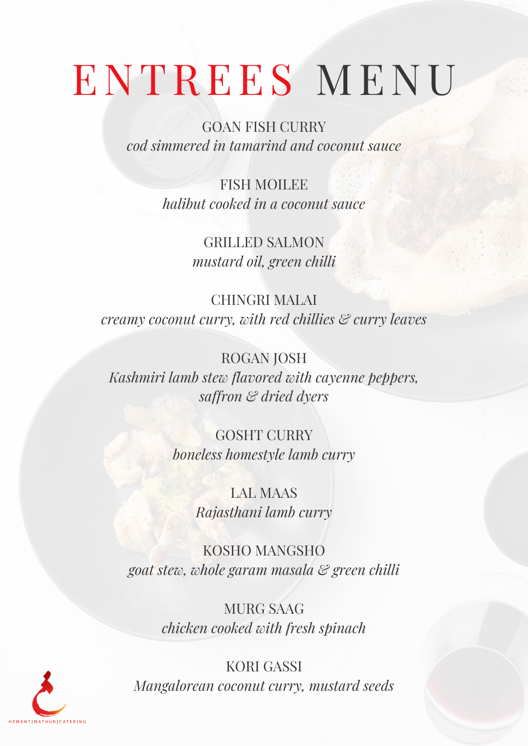## ENTREES MENU

GOAN FISH CURRY *cod simmered in tamarind and coconut sauce*

> FISH MOILEE *halibut cooked in a coconut sauce*

> > GRILLED SALMON *mustard oil, green chilli*

CHINGRI MALAI *creamy coconut curry, with red chillies & curry leaves*

ROGAN JOSH *Kashmiri lamb stew flavored with cayenne peppers, saffron & dried dyers*

> GOSHT CURRY *boneless homestyle lamb curry*

> > LAL MAAS *Rajasthani lamb curry*

KOSHO MANGSHO *goat stew, whole garam masala & green chilli*

> MURG SAAG *chicken cooked with fresh spinach*

KORI GASSI *Mangalorean coconut curry, mustard seeds*

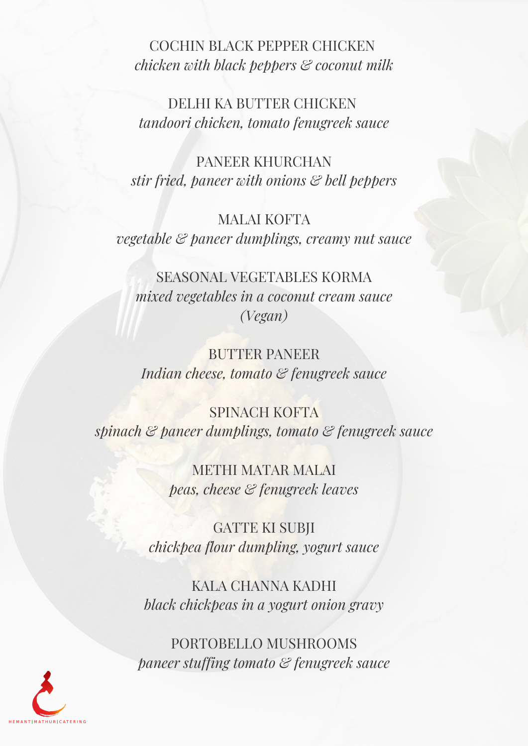COCHIN BLACK PEPPER CHICKEN *chicken with black peppers & coconut milk*

DELHI KA BUTTER CHICKEN *tandoori chicken, tomato fenugreek sauce*

PANEER KHURCHAN *stir fried, paneer with onions & bell peppers*

## MALAI KOFTA *vegetable & paneer dumplings, creamy nut sauce*

SEASONAL VEGETABLES KORMA *mixed vegetables in a coconut cream sauce (Vegan)*

BUTTER PANEER *Indian cheese, tomato & fenugreek sauce*

SPINACH KOFTA *spinach & paneer dumplings, tomato & fenugreek sauce*

> METHI MATAR MALAI *peas, cheese & fenugreek leaves*

GATTE KI SUBJI *chickpea flour dumpling, yogurt sauce*

KALA CHANNA KADHI *black chickpeas in a yogurt onion gravy*

PORTOBELLO MUSHROOMS *paneer stuffing tomato & fenugreek sauce*